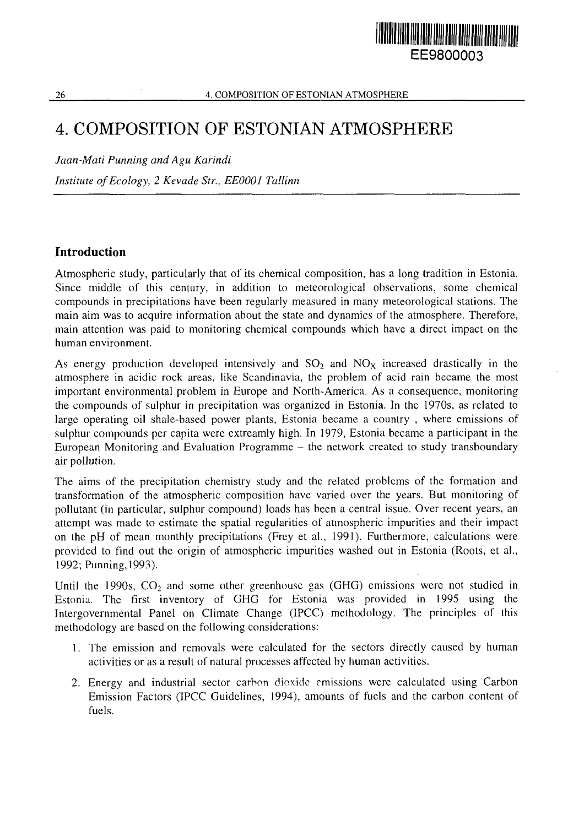# HARAN HARA EE9800003

#### 26 **4. COMPOSITION OF ESTONIAN ATMOSPHERE**

## 4. COMPOSITION OF ESTONIAN ATMOSPHERE

*Jaan-Mati Punning and Agu Karindl*

*Institute of Ecology, 2 Kevade Str., EE0001 Tallinn*

## Introduction

Atmospheric study, particularly that of its chemical composition, has a long tradition in Estonia. Since middle of this century, in addition to meteorological observations, some chemical compounds in precipitations have been regularly measured in many meteorological stations. The main aim was to acquire information about the state and dynamics of the atmosphere. Therefore, main attention was paid to monitoring chemical compounds which have a direct impact on the human environment.

As energy production developed intensively and  $SO_2$  and  $NO<sub>X</sub>$  increased drastically in the atmosphere in acidic rock areas, like Scandinavia, the problem of acid rain became the most important environmental problem in Europe and North-America. As a consequence, monitoring the compounds of sulphur in precipitation was organized in Estonia. In the 1970s, as related to large operating oil shale-based power plants, Estonia became a country , where emissions of sulphur compounds per capita were extreamly high. In 1979, Estonia became a participant in the European Monitoring and Evaluation Programme - the network created to study transboundary air pollution.

The aims of the precipitation chemistry study and the related problems of the formation and transformation of the atmospheric composition have varied over the years. But monitoring of pollutant (in particular, sulphur compound) loads has been a central issue. Over recent years, an attempt was made to estimate the spatial regularities of atmospheric impurities and their impact on the pH of mean monthly precipitations (Frey et al., 1991). Furthermore, calculations were provided to find out the origin of atmospheric impurities washed out in Estonia (Roots, et al., 1992; Punning, 1993).

Until the 1990s,  $CO<sub>2</sub>$  and some other greenhouse gas (GHG) emissions were not studied in Estonia. The first inventory of GHG for Estonia was provided in 1995 using the Intergovernmental Panel on Climate Change (IPCC) methodology. The principles of this methodology are based on the following considerations:

- 1. The emission and removals were calculated for the sectors directly caused by human activities or as a result of natural processes affected by human activities.
- 2. Energy and industrial sector carbon dioxide emissions were calculated using Carbon Emission Factors (IPCC Guidelines, 1994), amounts of fuels and the carbon content of fuels.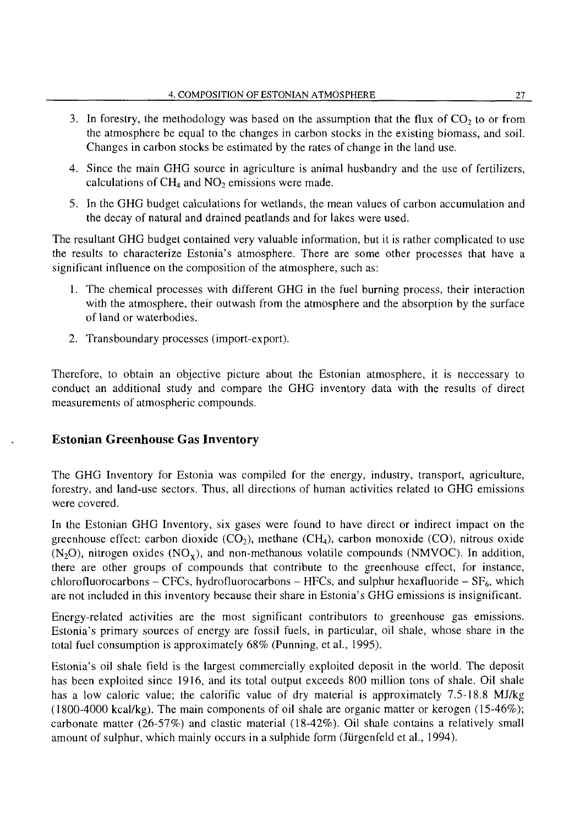- 3. In forestry, the methodology was based on the assumption that the flux of  $CO<sub>2</sub>$  to or from the atmosphere be equal to the changes in carbon stocks in the existing biomass, and soil. Changes in carbon stocks be estimated by the rates of change in the land use.
- 4. Since the main GHG source in agriculture is animal husbandry and the use of fertilizers, calculations of  $CH_4$  and  $NO_2$  emissions were made.
- 5. In the GHG budget calculations for wetlands, the mean values of carbon accumulation and the decay of natural and drained peatlands and for lakes were used.

The resultant GHG budget contained very valuable information, but it is rather complicated to use the results to characterize Estonia's atmosphere. There are some other processes that have a significant influence on the composition of the atmosphere, such as:

- 1. The chemical processes with different GHG in the fuel burning process, their interaction with the atmosphere, their outwash from the atmosphere and the absorption by the surface of land or waterbodies.
- 2. Transboundary processes (import-export).

Therefore, to obtain an objective picture about the Estonian atmosphere, it is neccessary to conduct an additional study and compare the GHG inventory data with the results of direct measurements of atmospheric compounds.

#### Estonian Greenhouse Gas Inventory

The GHG Inventory for Estonia was compiled for the energy, industry, transport, agriculture, forestry, and land-use sectors. Thus, all directions of human activities related to GHG emissions were covered.

In the Estonian GHG Inventory, six gases were found to have direct or indirect impact on the greenhouse effect: carbon dioxide ( $CO<sub>2</sub>$ ), methane ( $CH<sub>4</sub>$ ), carbon monoxide ( $CO$ ), nitrous oxide  $(N_2O)$ , nitrogen oxides  $(NO_x)$ , and non-methanous volatile compounds (NMVOC). In addition, there are other groups of compounds that contribute to the greenhouse effect, for instance, chlorofluorocarbons - CFCs, hydrofluorocarbons - HFCs, and sulphur hexafluoride -  $SF_6$ , which are not included in this inventory because their share in Estonia's GHG emissions is insignificant.

Energy-related activities are the most significant contributors to greenhouse gas emissions. Estonia's primary sources of energy are fossil fuels, in particular, oil shale, whose share in the total fuel consumption is approximately 68% (Punning, et al., 1995).

Estonia's oil shale field is the largest commercially exploited deposit in the world. The deposit has been exploited since 1916, and its total output exceeds 800 million tons of shale. Oil shale has a low caloric value; the calorific value of dry material is approximately 7.5-18.8 MJ/kg (1800-4000 kcal/kg). The main components of oil shale are organic matter or kerogen (15-46%); carbonate matter (26-57%) and clastic material (18-42%). Oil shale contains a relatively small amount of sulphur, which mainly occurs in a sulphide form (Jürgenfeld et al., 1994).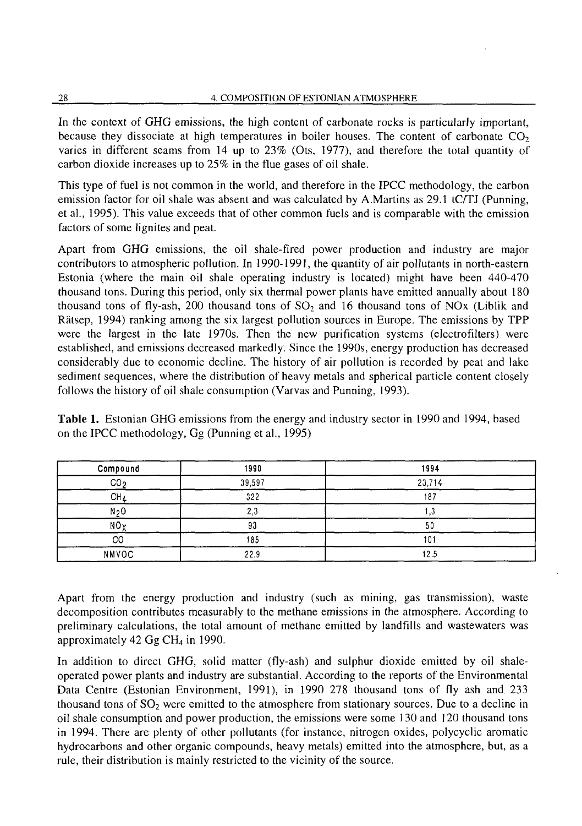In the context of GHG emissions, the high content of carbonate rocks is particularly important, because they dissociate at high temperatures in boiler houses. The content of carbonate  $CO<sub>2</sub>$ varies in different seams from 14 up to 23% (Ots, 1977), and therefore the total quantity of carbon dioxide increases up to 25% in the flue gases of oil shale.

This type of fuel is not common in the world, and therefore in the IPCC methodology, the carbon emission factor for oil shale was absent and was calculated by A.Martins as 29.1 tC/TJ (Punning, et al., 1995). This value exceeds that of other common fuels and is comparable with the emission factors of some lignites and peat.

Apart from GHG emissions, the oil shale-fired power production and industry are major contributors to atmospheric pollution. In 1990-1991, the quantity of air pollutants in north-eastern Estonia (where the main oil shale operating industry is located) might have been 440-470 thousand tons. During this period, only six thermal power plants have emitted annually about 180 thousand tons of fly-ash, 200 thousand tons of  $SO<sub>2</sub>$  and 16 thousand tons of NOx (Liblik and Rätsep, 1994) ranking among the six largest pollution sources in Europe. The emissions by TPP were the largest in the late 1970s. Then the new purification systems (electrofilters) were established, and emissions decreased markedly. Since the 1990s, energy production has decreased considerably due to economic decline. The history of air pollution is recorded by peat and lake sediment sequences, where the distribution of heavy metals and spherical particle content closely follows the history of oil shale consumption (Varvas and Punning, 1993).

**Table 1.** Estonian GHG emissions from the energy and industry sector in 1990 and 1994, based on the IPCC methodology, Gg (Punning et al., 1995)

| Compound        | 1990   | 1994   |  |
|-----------------|--------|--------|--|
| CO <sub>2</sub> | 39,597 | 23,714 |  |
| CH <sub>4</sub> | 322    | 187    |  |
| N <sub>2</sub>  | 2,3    | 3. ا   |  |
| NO <sub>Y</sub> | 93     | 50     |  |
| CO              | 185    | 101    |  |
| <b>NMVOC</b>    | 22.9   | 12.5   |  |

Apart from the energy production and industry (such as mining, gas transmission), waste decomposition contributes measurably to the methane emissions in the atmosphere. According to preliminary calculations, the total amount of methane emitted by landfills and wastewaters was approximately 42 Gg CH<sub>4</sub> in 1990.

In addition to direct GHG, solid matter (fly-ash) and sulphur dioxide emitted by oil shaleoperated power plants and industry are substantial. According to the reports of the Environmental Data Centre (Estonian Environment, 1991), in 1990 278 thousand tons of fly ash and 233 thousand tons of  $SO_2$  were emitted to the atmosphere from stationary sources. Due to a decline in oil shale consumption and power production, the emissions were some 130 and 120 thousand tons in 1994. There are plenty of other pollutants (for instance, nitrogen oxides, polycyclic aromatic hydrocarbons and other organic compounds, heavy metals) emitted into the atmosphere, but, as a rule, their distribution is mainly restricted to the vicinity of the source.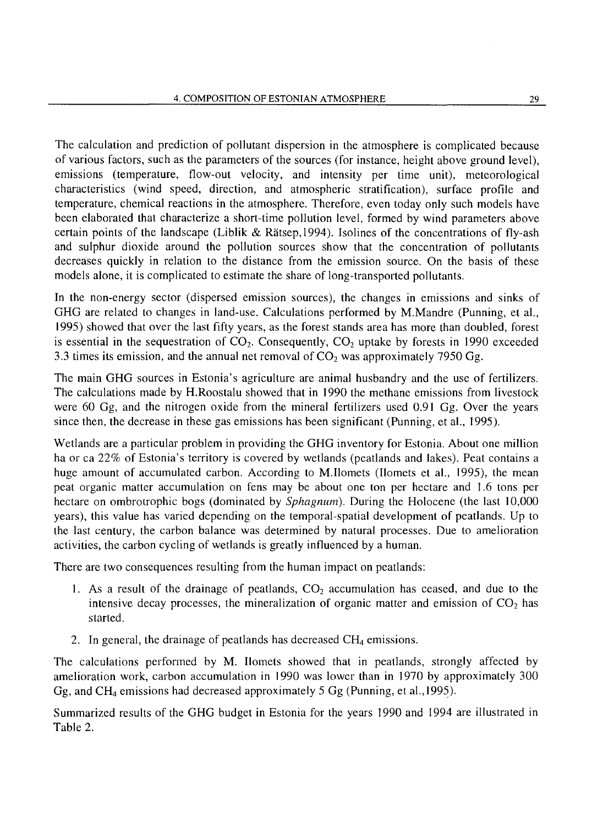The calculation and prediction of pollutant dispersion in the atmosphere is complicated because of various factors, such as the parameters of the sources (for instance, height above ground level), emissions (temperature, flow-out velocity, and intensity per time unit), meteorological characteristics (wind speed, direction, and atmospheric stratification), surface profile and temperature, chemical reactions in the atmosphere. Therefore, even today only such models have been elaborated that characterize a short-time pollution level, formed by wind parameters above certain points of the landscape (Liblik & Rätsep, 1994). Isolines of the concentrations of fly-ash and sulphur dioxide around the pollution sources show that the concentration of pollutants decreases quickly in relation to the distance from the emission source. On the basis of these models alone, it is complicated to estimate the share of long-transported pollutants.

In the non-energy sector (dispersed emission sources), the changes in emissions and sinks of GHG are related to changes in land-use. Calculations performed by M.Mandre (Punning, et al., 1995) showed that over the last fifty years, as the forest stands area has more than doubled, forest is essential in the sequestration of  $CO<sub>2</sub>$ . Consequently,  $CO<sub>2</sub>$  uptake by forests in 1990 exceeded 3.3 times its emission, and the annual net removal of  $CO<sub>2</sub>$  was approximately 7950 Gg.

The main GHG sources in Estonia's agriculture are animal husbandry and the use of fertilizers. The calculations made by H.Roostalu showed that in 1990 the methane emissions from livestock were 60 Gg, and the nitrogen oxide from the mineral fertilizers used 0.91 Gg. Over the years since then, the decrease in these gas emissions has been significant (Punning, et al., 1995).

Wetlands are a particular problem in providing the GHG inventory for Estonia. About one million ha or ca 22% of Estonia's territory is covered by wetlands (peatlands and lakes). Peat contains a huge amount of accumulated carbon. According to M.Ilomets (Ilomets et al., 1995), the mean peat organic matter accumulation on fens may be about one ton per hectare and 1.6 tons per hectare on ombrolrophic bogs (dominated by *Sphagnum).* During the Holocene (the last 10,000 years), this value has varied depending on the temporal-spatial development of peatlands. Up to the last century, the carbon balance was determined by natural processes. Due to amelioration activities, the carbon cycling of wetlands is greatly influenced by a human.

There are two consequences resulting from the human impact on peatlands:

- 1. As a result of the drainage of peatlands,  $CO<sub>2</sub>$  accumulation has ceased, and due to the intensive decay processes, the mineralization of organic matter and emission of  $CO<sub>2</sub>$  has started.
- 2. In general, the drainage of peatlands has decreased  $CH<sub>4</sub>$  emissions.

The calculations performed by M. Homets showed that in peatlands, strongly affected by amelioration work, carbon accumulation in 1990 was lower than in 1970 by approximately 300 Gg, and CH4 emissions had decreased approximately 5 Gg (Punning, et al., 1995).

Summarized results of the GHG budget in Estonia for the years 1990 and 1994 are illustrated in Table 2.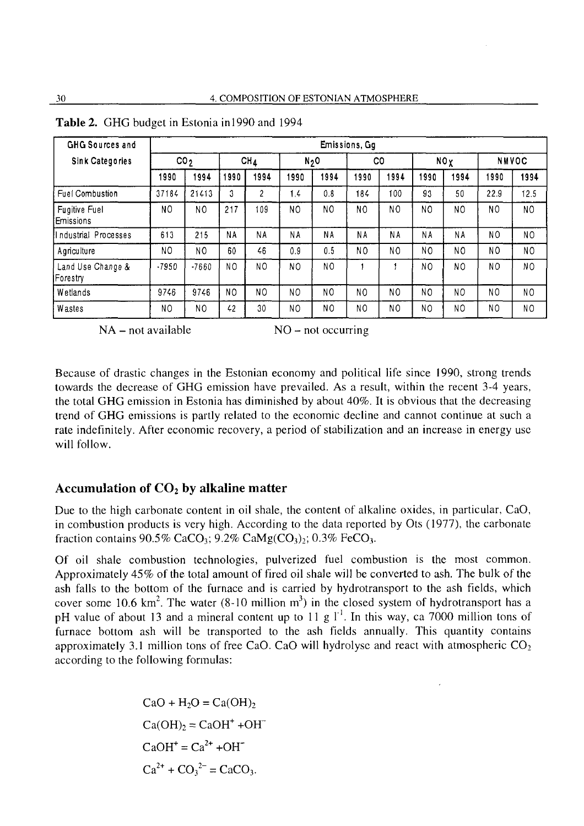| GHG Sources and                   | Emissions, Gg   |                |                |                |                |                |                |                |                |      |                |                |
|-----------------------------------|-----------------|----------------|----------------|----------------|----------------|----------------|----------------|----------------|----------------|------|----------------|----------------|
| <b>Sink Categories</b>            | CO <sub>2</sub> |                | CH1            |                | N <sub>2</sub> |                | C <sub>0</sub> |                | NOX            |      | <b>NMVOC</b>   |                |
|                                   | 1990            | 1994           | 1990           | 1994           | 1990           | 1994           | 1990           | 1994           | 1990           | 1994 | 1990           | 1994           |
| Fuel Combustion                   | 37184           | 21413          | 3              | 2              | 1.4            | 0.8            | 184            | 100            | 93             | 50   | 22.9           | 12.5           |
| <b>Fugitive Fuel</b><br>Emissions | NO              | N <sub>O</sub> | 217            | 109            | NO             | N <sub>O</sub> | N <sub>0</sub> | N <sub>O</sub> | N <sub>O</sub> | NO   | NO             | NO             |
| Industrial Processes              | 613             | 215            | NA             | <b>NA</b>      | NΑ             | ΝA             | NΑ             | NΑ             | ΝA             | NΑ   | N <sub>O</sub> | N <sub>0</sub> |
| Agriculture                       | N <sub>0</sub>  | NO             | 60             | 46             | 0.9            | 0.5            | N <sub>0</sub> | N <sub>O</sub> | N <sub>0</sub> | NO.  | N <sub>O</sub> | N <sub>O</sub> |
| Land Use Change &<br>Forestry     | $-7950$         | $-7660$        | N <sub>0</sub> | NO             | NO.            | N <sub>0</sub> |                |                | N٥             | NO.  | NO             | NO.            |
| Wetlands                          | 9746            | 9746           | N <sub>0</sub> | N <sub>O</sub> | NO             | NO             | N <sub>O</sub> | N <sub>O</sub> | NO             | NO   | N <sub>0</sub> | N <sub>0</sub> |
| <b>Wastes</b>                     | NO              | NO             | 42             | 30             | NO             | NO             | N <sub>O</sub> | N <sub>0</sub> | N <sub>O</sub> | NO   | N <sub>0</sub> | N <sub>O</sub> |

**Table 2.** GHG budget in Estonia in 1990 and 1994

 $NA$  – not available  $NO$  – not occurring

Because of drastic changes in the Estonian economy and political life since 1990, strong trends towards the decrease of GHG emission have prevailed. As a result, within the recent 3-4 years, the total GHG emission in Estonia has diminished by about 40%. It is obvious that the decreasing trend of GHG emissions is partly related to the economic decline and cannot continue at such a rate indefinitely. After economic recovery, a period of stabilization and an increase in energy use will follow.

## Accumulation of  $CO<sub>2</sub>$  by alkaline matter

Due to the high carbonate content in oil shale, the content of alkaline oxides, in particular, CaO, in combustion products is very high. According to the data reported by Ots (1977), the carbonate fraction contains  $90.5\%$  CaCO<sub>3</sub>;  $9.2\%$  CaMg(CO<sub>3</sub>)<sub>2</sub>;  $0.3\%$  FeCO<sub>3</sub>.

Of oil shale combustion technologies, pulverized fuel combustion is the most common, Approximately 45% of the total amount of fired oil shale will be converted to ash. The bulk of the ash falls to the bottom of the furnace and is carried by hydrotransport to the ash fields, which cover some 10.6 km<sup>2</sup>. The water (8-10 million m<sup>3</sup>) in the closed system of hydrotransport has a pH value of about 13 and a mineral content up to 11 g  $1<sup>-1</sup>$ . In this way, ca 7000 million tons of furnace bottom ash will be transported to the ash fields annually. This quantity contains approximately 3.1 million tons of free CaO. CaO will hydrolyse and react with atmospheric  $CO<sub>2</sub>$ according to the following formulas:

> $CaO + H<sub>2</sub>O = Ca(OH)$  $Ca(OH)_2 = CaOH^+ + OH^ CaOH<sup>+</sup> = Ca<sup>2+</sup> + OH<sup>-</sup>$  $Ca^{2+} + CO_3^{2-} = CaCO_3.$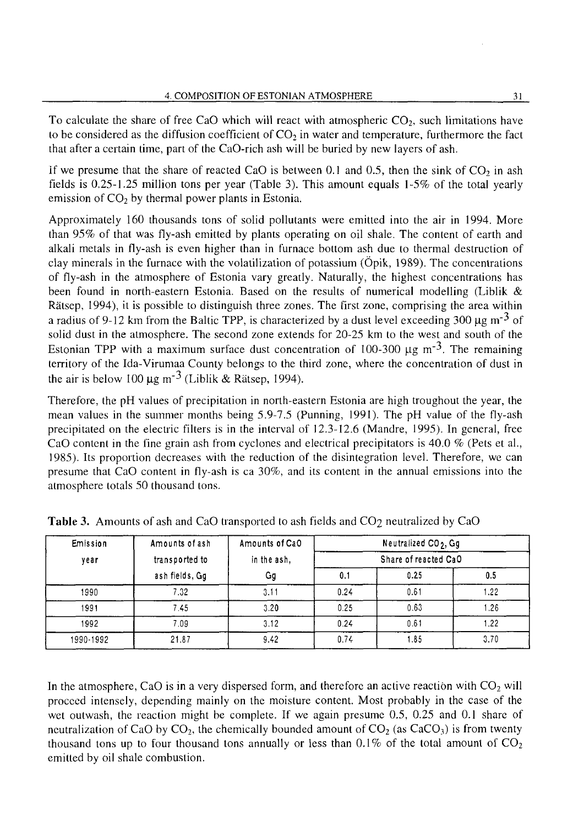To calculate the share of free CaO which will react with atmospheric  $CO<sub>2</sub>$ , such limitations have to be considered as the diffusion coefficient of  $CO<sub>2</sub>$  in water and temperature, furthermore the fact that after a certain time, part of the CaO-rich ash will be buried by new layers of ash.

If we presume that the share of reacted CaO is between 0.1 and 0.5, then the sink of  $CO<sub>2</sub>$  in ash fields is 0.25-1.25 million tons per year (Table 3). This amount equals 1-5% of the total yearly emission of  $CO<sub>2</sub>$  by thermal power plants in Estonia.

Approximately 160 thousands tons of solid pollutants were emitted into the air in 1994. More than 95% of that was fly-ash emitted by plants operating on oil shale. The content of earth and alkali metals in fly-ash is even higher than in furnace bottom ash due to thermal destruction of clay minerals in the furnace with the volatilization of potassium (Opik, 1989). The concentrations of fly-ash in the atmosphere of Estonia vary greatly. Naturally, the highest concentrations has been found in north-eastern Estonia. Based on the results of numerical modelling (Liblik & Rätsep, 1994), it is possible to distinguish three zones. The first zone, comprising the area within a radius of 9-12 km from the Baltic TPP, is characterized by a dust level exceeding 300  $\mu$ g m<sup>-3</sup> of solid dust in the atmosphere. The second zone extends for 20-25 km to the west and south of the Estonian TPP with a maximum surface dust concentration of 100-300  $\mu$ g m<sup>-3</sup>. The remaining territory of the Ida-Virumaa County belongs to the third zone, where the concentration of dust in the air is below 100  $\mu$ g m<sup>-3</sup> (Liblik & Rätsep, 1994).

Therefore, the pH values of precipitation in north-eastern Estonia are high troughout the year, the mean values in the summer months being 5.9-7.5 (Punning, 1991). The pH value of the fly-ash precipitated on the electric filters is in the interval of 12.3-12.6 (Mandre, 1995). In general, free CaO content in the fine grain ash from cyclones and electrical precipitators is 40.0 % (Pets et al., 1985). Its proportion decreases with the reduction of the disintegration level. Therefore, we can presume that CaO content in fly-ash is ca 30%, and its content in the annual emissions into the atmosphere totals 50 thousand tons.

| Emission  | Amounts of ash | Amounts of CaO    | Neutralized CO <sub>2</sub> , Gq |      |      |  |  |
|-----------|----------------|-------------------|----------------------------------|------|------|--|--|
| vear      | transported to | in the ash.<br>Gg | Share of reacted CaO             |      |      |  |  |
|           | ash fields, Gq |                   | 0.1                              | 0.25 | 0.5  |  |  |
| 1990      | 7.32           | 3.11              | 0.24                             | 0.61 | 1.22 |  |  |
| 1991      | 7.45           | 3.20              | 0.25                             | 0.63 | 1.26 |  |  |
| 1992      | 7.09           | 3.12              | 0.24                             | 0.61 | 1.22 |  |  |
| 1990-1992 | 21.87          | 9.42              | 0.74                             | 1.85 | 3.70 |  |  |

**Table 3.** Amounts of ash and CaO transported to ash fields and CO<sub>2</sub> neutralized by CaO

In the atmosphere, CaO is in a very dispersed form, and therefore an active reaction with  $CO<sub>2</sub>$  will proceed intensely, depending mainly on the moisture content. Most probably in the case of the wet outwash, the reaction might be complete. If we again presume 0.5, 0.25 and 0.1 share of neutralization of CaO by CO<sub>2</sub>, the chemically bounded amount of CO<sub>2</sub> (as CaCO<sub>3</sub>) is from twenty thousand tons up to four thousand tons annually or less than 0.1% of the total amount of  $CO<sub>2</sub>$ emitted by oil shale combustion.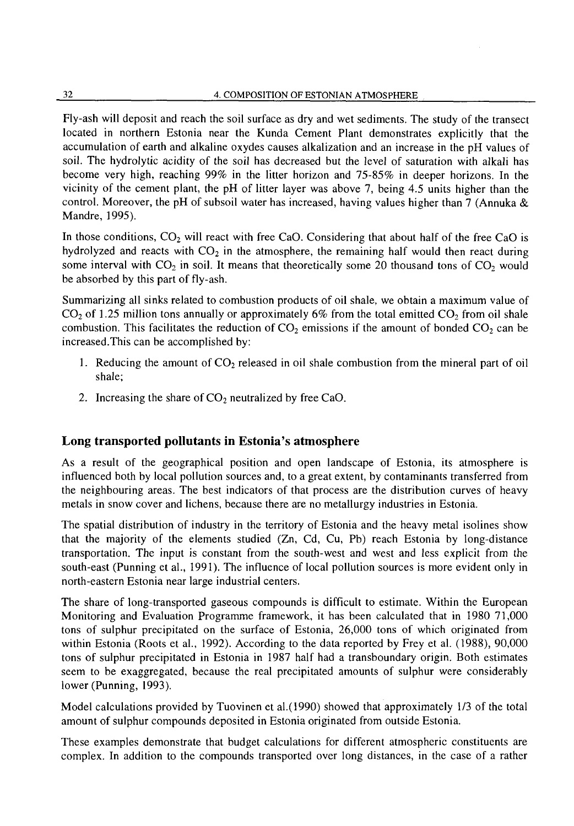Fly-ash will deposit and reach the soil surface as dry and wet sediments. The study of the transect located in northern Estonia near the Kunda Cement Plant demonstrates explicitly that the accumulation of earth and alkaline oxydes causes alkalization and an increase in the pH values of soil. The hydrolytic acidity of the soil has decreased but the level of saturation with alkali has become very high, reaching 99% in the litter horizon and 75-85% in deeper horizons. In the vicinity of the cement plant, the pH of litter layer was above 7, being 4.5 units higher than the control. Moreover, the pH of subsoil water has increased, having values higher than 7 (Annuka  $\&$ Mandre, 1995).

In those conditions,  $CO<sub>2</sub>$  will react with free CaO. Considering that about half of the free CaO is hydrolyzed and reacts with  $CO<sub>2</sub>$  in the atmosphere, the remaining half would then react during some interval with  $CO_2$  in soil. It means that theoretically some 20 thousand tons of  $CO_2$  would be absorbed by this part of fly-ash.

Summarizing all sinks related to combustion products of oil shale, we obtain a maximum value of  $CO<sub>2</sub>$  of 1.25 million tons annually or approximately 6% from the total emitted  $CO<sub>2</sub>$  from oil shale combustion. This facilitates the reduction of  $CO<sub>2</sub>$  emissions if the amount of bonded  $CO<sub>2</sub>$  can be increased.This can be accomplished by:

- 1. Reducing the amount of  $CO<sub>2</sub>$  released in oil shale combustion from the mineral part of oil shale;
- 2. Increasing the share of  $CO<sub>2</sub>$  neutralized by free CaO.

## Long transported pollutants in Estonia's atmosphere

As a result of the geographical position and open landscape of Estonia, its atmosphere is influenced both by local pollution sources and, to a great extent, by contaminants transferred from the neighbouring areas. The best indicators of that process are the distribution curves of heavy metals in snow cover and lichens, because there are no metallurgy industries in Estonia.

The spatial distribution of industry in the territory of Estonia and the heavy metal isolines show that the majority of the elements studied (Zn, Cd, Cu, Pb) reach Estonia by long-distance transportation. The input is constant from the south-west and west and less explicit from the south-east (Punning et al., 1991). The influence of local pollution sources is more evident only in north-eastern Estonia near large industrial centers.

The share of long-transported gaseous compounds is difficult to estimate. Within the European Monitoring and Evaluation Programme framework, it has been calculated that in 1980 71,000 tons of sulphur precipitated on the surface of Estonia, 26,000 tons of which originated from within Estonia (Roots et al., 1992). According to the data reported by Frey et al. (1988), 90,000 tons of sulphur precipitated in Estonia in 1987 half had a transboundary origin. Both estimates seem to be exaggregated, because the real precipitated amounts of sulphur were considerably lower (Punning, 1993).

Model calculations provided by Tuovinen et al.(1990) showed that approximately 1/3 of the total amount of sulphur compounds deposited in Estonia originated from outside Estonia.

These examples demonstrate that budget calculations for different atmospheric constituents are complex. In addition to the compounds transported over long distances, in the case of a rather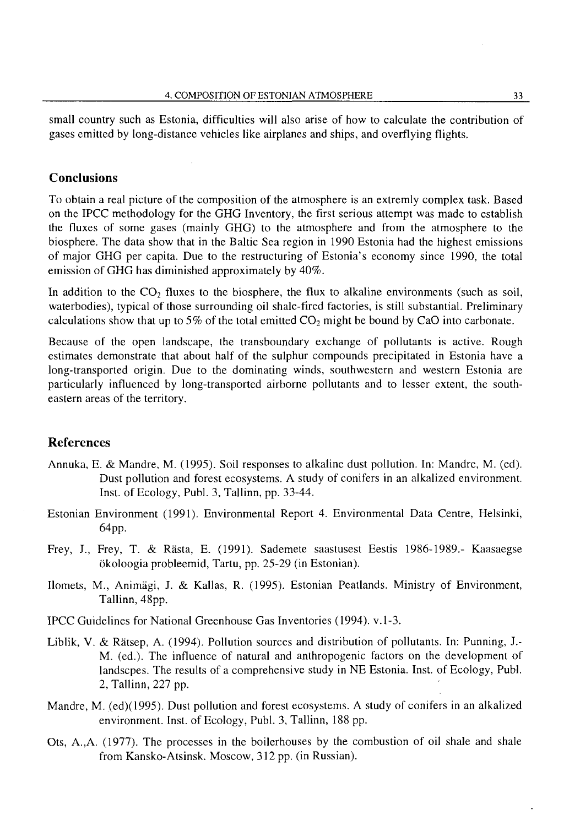small country such as Estonia, difficulties will also arise of how to calculate the contribution of gases emitted by long-distance vehicles like airplanes and ships, and overflying flights.

## **Conclusions**

To obtain a real picture of the composition of the atmosphere is an extremly complex task. Based on the IPCC methodology for the GHG Inventory, the first serious attempt was made to establish the fluxes of some gases (mainly GHG) to the atmosphere and from the atmosphere to the biosphere. The data show that in the Baltic Sea region in 1990 Estonia had the highest emissions of major GHG per capita. Due to the restructuring of Estonia's economy since 1990, the total emission of GHG has diminished approximately by 40%.

In addition to the  $CO<sub>2</sub>$  fluxes to the biosphere, the flux to alkaline environments (such as soil, waterbodies), typical of those surrounding oil shale-fired factories, is still substantial. Preliminary calculations show that up to 5% of the total emitted  $CO<sub>2</sub>$  might be bound by CaO into carbonate.

Because of the open landscape, the transboundary exchange of pollutants is active. Rough estimates demonstrate that about half of the sulphur compounds precipitated in Estonia have a long-transported origin. Due to the dominating winds, southwestern and western Estonia are particularly influenced by long-transported airborne pollutants and to lesser extent, the southeastern areas of the territory.

## References

- Annuka, E. & Mandre, M. (1995). Soil responses to alkaline dust pollution. In: Mandre, M. (ed). Dust pollution and forest ecosystems. A study of conifers in an alkalized environment. Inst. of Ecology, Publ. 3, Tallinn, pp. 33-44.
- Estonian Environment (1991). Environmental Report 4. Environmental Data Centre, Helsinki, 64pp.
- Frey, J., Frey, T. & Rasta, E. (1991). Sademete saastusest Eestis 1986-1989.- Kaasaegse ökoloogia probleemid, Tartu, pp. 25-29 (in Estonian).
- Hornets, M., Animagi, J. & Kallas, R. (1995). Estonian Peatlands. Ministry of Environment, Tallinn, 48pp.

IPCC Guidelines for National Greenhouse Gas Inventories (1994). v.1-3.

- Liblik, V. & Rätsep, A. (1994). Pollution sources and distribution of pollutants. In: Punning, J.-M. (ed.). The influence of natural and anthropogenic factors on the development of landscpes. The results of a comprehensive study in NE Estonia. Inst. of Ecology, Publ. 2, Tallinn, 227 pp.
- Mandre, M. (ed)(1995). Dust pollution and forest ecosystems. A study of conifers in an alkalized environment. Inst. of Ecology, Publ. 3, Tallinn, 188 pp.
- Ots, A.,A. (1977). The processes in the boilerhouses by the combustion of oil shale and shale from Kansko-Atsinsk. Moscow, 312 pp. (in Russian).